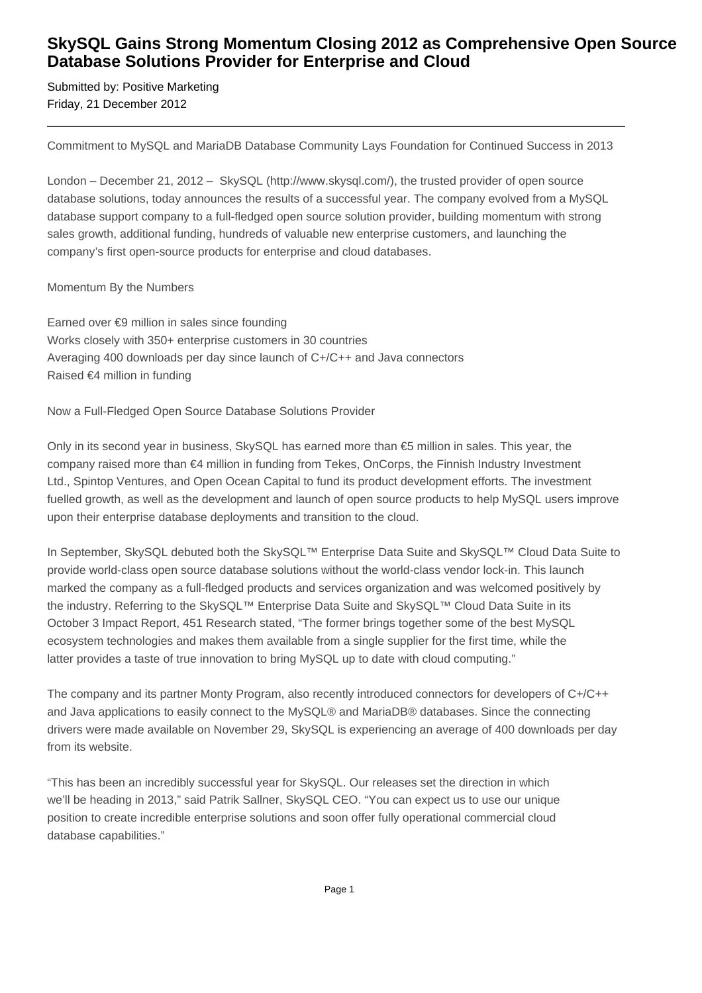## **SkySQL Gains Strong Momentum Closing 2012 as Comprehensive Open Source Database Solutions Provider for Enterprise and Cloud**

Submitted by: Positive Marketing Friday, 21 December 2012

Commitment to MySQL and MariaDB Database Community Lays Foundation for Continued Success in 2013

London – December 21, 2012 – SkySQL (http://www.skysql.com/), the trusted provider of open source database solutions, today announces the results of a successful year. The company evolved from a MySQL database support company to a full-fledged open source solution provider, building momentum with strong sales growth, additional funding, hundreds of valuable new enterprise customers, and launching the company's first open-source products for enterprise and cloud databases.

### Momentum By the Numbers

 Earned over €9 million in sales since founding Works closely with 350+ enterprise customers in 30 countries Averaging 400 downloads per day since launch of C+/C++ and Java connectors Raised €4 million in funding

Now a Full-Fledged Open Source Database Solutions Provider

Only in its second year in business, SkySQL has earned more than €5 million in sales. This year, the company raised more than €4 million in funding from Tekes, OnCorps, the Finnish Industry Investment Ltd., Spintop Ventures, and Open Ocean Capital to fund its product development efforts. The investment fuelled growth, as well as the development and launch of open source products to help MySQL users improve upon their enterprise database deployments and transition to the cloud.

In September, SkySQL debuted both the SkySQL™ Enterprise Data Suite and SkySQL™ Cloud Data Suite to provide world-class open source database solutions without the world-class vendor lock-in. This launch marked the company as a full-fledged products and services organization and was welcomed positively by the industry. Referring to the SkySQL™ Enterprise Data Suite and SkySQL™ Cloud Data Suite in its October 3 Impact Report, 451 Research stated, "The former brings together some of the best MySQL ecosystem technologies and makes them available from a single supplier for the first time, while the latter provides a taste of true innovation to bring MySQL up to date with cloud computing."

The company and its partner Monty Program, also recently introduced connectors for developers of C+/C++ and Java applications to easily connect to the MySQL® and MariaDB® databases. Since the connecting drivers were made available on November 29, SkySQL is experiencing an average of 400 downloads per day from its website.

"This has been an incredibly successful year for SkySQL. Our releases set the direction in which we'll be heading in 2013," said Patrik Sallner, SkySQL CEO. "You can expect us to use our unique position to create incredible enterprise solutions and soon offer fully operational commercial cloud database capabilities."